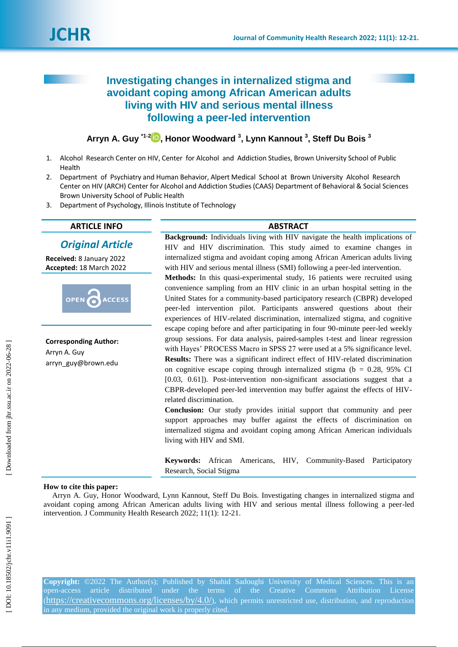

# **Investigating changes in internalized stigma and avoidant coping among African American adults living with HIV and serious mental illness following a peer -led intervention**

**Arryn A. Guy \* 1 ، 2 [,](https://orcid.org/ 0000-0002-3042-1063) Honor Woodward 3 , Lynn Kannout 3 , Steff Du Bois 3**

- 1 . Alcohol Research Center on HIV, Center for Alcohol and Addiction Studies, Brown University School of Public Health
- 2. . Department of Psychiatry and Human Behavior, Alpert Medical School at Brown University Alcohol Research Center on HIV (ARCH) Center for Alcohol and Addiction Studies (CAAS) Department of Behavioral & Social Sciences Brown University School of Public Health
- 3 . Depar tment of Psychology, Illinois Institute of Technology

# **ARTICLE INFO ABSTRACT**

# *Original Article*

**Received:**  8 Janu ary 202 2 **Accepted:** 18 March 202 2



**Corresponding Author:** Arryn A. Guy [arryn\\_guy@brown.edu](mailto:arryn_guy@brown.edu)

**Background:** Individuals living with HIV navigate the health implications of HIV and HIV discrimination. This study aimed to examine changes in internalized stigma and avoidant coping among African American adults living with HIV and serious mental illness (SMI) following a peer -led intervention.

Methods: In this quasi-experimental study, 16 patients were recruited using convenience sampling from an HIV clinic in an urban hospital setting in the United States for a community -based participatory research (CBPR) developed peer -led intervention pilot. Participants answered questions about their experiences of HIV -related discrimination, internalized stigma, and cognitive escape coping before and after participating in four 90 -minute peer -led weekly group sessions. For data analysis , paired -samples t -test and linear regression with Hayes' PROCESS Macro in SPSS 27 were used at a 5% significance level. Results: There was a significant indirect effect of HIV-related discrimination on cognitive escape coping through internalized stigma ( $b = 0.28$ , 95% CI [0.03, 0.61]). Post-intervention non-significant associations suggest that a CBPR -developed peer -led intervention may buffer against the effects of HIV related discrimination.

**Conclusion:** Our study provides initial support that community and peer support approaches may buffer against the effects of discrimination on internalized stigma and avoidant coping among African American individuals living with HIV and SMI.

**Keywords:** African Americans, HIV, Community -Based Participatory Research, Social Stigma

# **How to cite this paper:**

Arryn A. Guy, Honor Woodward, Lynn Kannout, Steff Du Bois. Investigating changes in internalized stigma and avoidant coping among African American adults living with HIV and serious mental illness following a peer -led intervention. J Community Health Research 2022; 11(1): 12-21.

**Copyright:** ©2022 The Author(s); Published by Shahid Sadoughi University of Medical Sciences. This is an open-access (https://creativecommons.org/licenses/by/4.0/), which permits unrestricted use, distribution, and reproduction in any medium, provided the original work is properly cited.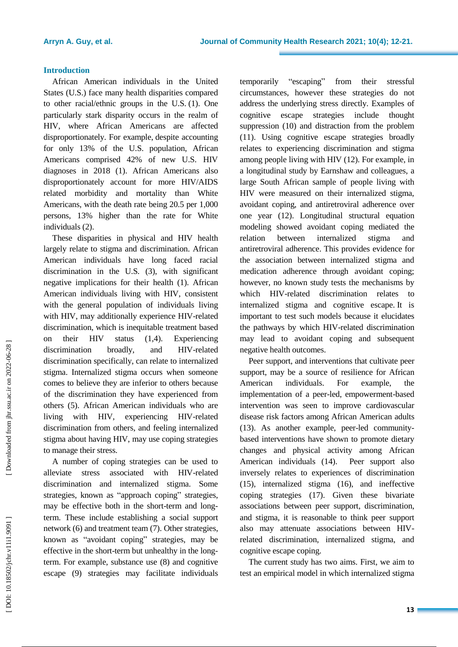# **Introduction**

African American individuals in the United States (U.S.) face many health disparities compared to other racial/ethnic groups in the U.S. (1) . One particularly stark disparity occurs in the realm of HIV, where African Americans are affected disproportionately. For example, despite accounting for only 13% of the U . S . population, African Americans comprised 42% of new U . S . HIV diagnoses in 2018 (1). African Americans also disproportionately account for more HIV/AIDS related morbidity and mortality than White Americans, with the death rate being 20.5 per 1,000 person s, 13% higher than the rate for White individuals (2) .

These disparities in physical and HIV health largely relate to stigma and discrimination. African American individuals have long faced racial discrimination in the U.S. (3), with significant negative implications for their health (1). African American individuals living with HIV, consistent with the general population of individuals living with HIV, may additionally experience HIV -related discrimination, which is inequitable treatment based on their HIV status (1,4). Experiencing discrimination broadly, and HIV-related discrimination specifically, can relate to internalized stigma. Internalized stigma occurs when someone comes to believe they are inferior to others because of the discrimination they have experienced from others (5). African American individuals who are living with HIV, experiencing HIV-related discrimination from others, and feeling internalized stigma about having HIV, may use coping strategies to manage their stress.

A number of coping strategies can be used to alleviate stress associated with HIV -related discrimination and internalized stigma. Some strategies, known as "approach coping" strategies, may be effective both in the short -term and long term. These include establishing a social support network (6) and treatment team (7). Other strategies, known as "avoidant coping" strategies, may be effective in the short -term but unhealthy in the long term. For example, substance use (8) and cognitive escape (9) strategies may facilitate individuals

temporarily "escaping from their stressful circumstances, however these strategies do not address the underlying stress directly. Examples of cognitive escape strategies include thought suppression (10) and distraction from the problem (11). Using cognitive escape strategies broadly relates to experiencing discrimination and stigma among people living with HIV (12). For example, in a longitudinal study by Earnshaw and colleagues, a large South African sample of people living with HIV were measured on their internalized stigma, avoidant coping, and antiretroviral adherence over one year (12). Longitudinal structural equation modeling showed avoidant coping mediated the relation between internalized stigma and antiretroviral adherence. This provides evidence for the association between internalized stigma and medication adherence through avoidant coping; however, no known study tests the mechanisms by which HIV -related discrimination relates to internalized stigma and cognitive escape. It is important to test such models because it elucidates the pathways by which HIV -related discrimination may lead to avoidant coping and subsequent negative health outcomes.

Peer support, and interventions that cultivate peer support, may be a source of resilienc e for African American individuals. For example, the implementation of a peer -led, empowerment -based intervention was seen to improve cardiovascular disease risk factors among African American adults (13). As another example, peer -led community based interventions have shown to promote dietary changes and physical activity among African American individuals (14). Peer support also inversely relates to experiences of discrimination (15), internalized stigma (16), and ineffective coping strategies (17). Given these bivariate associations between peer support, discrimination, and stigma, it is reasonable to think peer support also may attenuate associations between HIV related discrimination, internalized stigma, and cognitive escape coping.

The current study has two aims. First, we aim to test an empirical model in which internalized stigma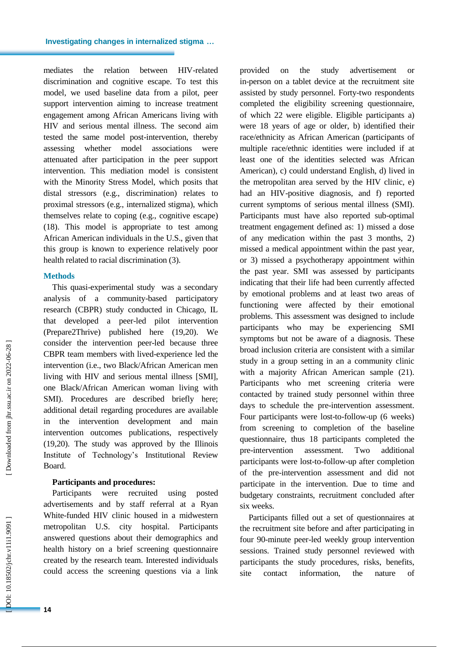mediates the relation between HIV-related discrimination and cognitive escape. To test this model, we used baseline data from a pilot, peer support intervention aiming to increase treatment engagement among African Americans living with HIV and serious mental illness. The second aim tested the same model post -intervention, thereby assessing whether model associations were attenuated after participation in the peer support intervention. This mediation model is consistent with the Minority Stress Model, which posits that distal stressors (e.g., discrimination) relates to proximal stressors (e.g., internalized stigma), which themselves relate to coping (e.g., cognitive escape ) (18). This model is appropriate to test among African American individuals in the U.S., given that this group is known to experience relatively poor health related to racial discrimination (3) .

### **Methods**

This quasi -experimental study was a secondary analysis of a community -based participatory research (CBPR) study conducted in Chicago, IL that developed a peer -led pilot intervention (Prepare2Thrive) published here (19,20). We consider the intervention peer -led because three CBPR team members with lived -experience led the intervention (i.e., two Black/African American men living with HIV and serious mental illness [SMI ], one Black/African American woman living with SMI). Procedures are described briefly here; additional detail regarding procedures are available in the intervention development and main intervention outcomes publications, respectively (19,20). The study was approved by the Illinois Institute of Technology's Institutional Review Board.

### **Participants and procedures :**

Participants were recruited using posted advertisements and by staff referral at a Ryan White -funded HIV clinic housed in a midwestern metropolitan U.S. city hospital. Participants answered questions about their demographics and health history on a brief screening questionnaire created by the research team. Interested individuals could access the screening questions via a link

provided on the study advertisement or in -person on a tablet device at the recruitment site assisted by study personnel. Forty -two respondents completed the eligibility screening questionnaire, of which 22 were eligible. Eligible participants a) were 18 years of age or older, b) identified their race/ethnicity as African American (participants of multiple race/ethnic identities were included if at least one of the identities selected was African American) , c) could understand English , d) live d in the metropolitan area served by the HIV clinic, e) had an HIV -positive diagnosis, and f) reported current symptoms of serious mental illness (SMI). Participants must have also reported sub -optimal treatment engagement defined as: 1) missed a dose of any medication within the past 3 months, 2) missed a medical appointment within the past year, or 3) missed a psychotherapy appointment within the past year. SMI was assessed by participants indicating that their life had been currently affected by emotional problems and at least two areas of functioning were affected by their emotional problems. This assessment was designed to include participants who may be experiencing SMI symptoms but not be aware of a diagnosis. These broad inclusion criteria are consistent with a similar study in a group setting in an a community clinic with a majority African American sample (21).<br>Participants who met screening criteria were contacted by trained study personnel within three days to schedule the pre -intervention assessment. Four participants were lost -to -follow -up (6 weeks) from screening to completion of the baseline questionnaire, thus 18 participants completed the pre -intervention assessment. Two additional participants were lost -to -follow -up after completion of the pre -intervention assessment and did not participate in the intervention. Due to time and budgetary constraints, recruitment concluded after six weeks.

Participants filled out a set of questionnaires at the recruitment site before and after participating in four 90 -minute peer -led weekly group intervention sessions. Trained study personnel reviewed with participants the study procedures, risks, benefits, site contact information, the nature of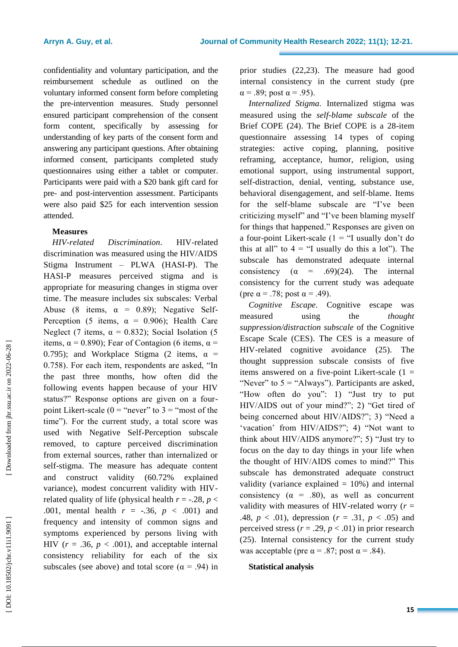confidentiality and voluntary participation, and the reimbursement schedule as outlined on the voluntary informed consent for m before completing the pre -intervention measures. Study personnel ensured participant comprehension of the consent form content, specifically by assessing for understanding of key parts of the consent form and answering any participant questions. After obtaining informed consent, participants completed study questionnaires using either a tablet or computer . Participants were paid with a \$20 bank gift card for pre - and post -intervention assessment. Participants were also paid \$25 for each intervention session attended.

# **Measures**

*HIV-related Discrimination* . HIV -related discrimination was measured using the HIV/AIDS Stigma Instrument – PLWA (HASI -P). The HASI -P measure s perceived stigma and is appropriate for measuring changes in stigma over time. The measure includes six subscales: Verbal Abuse (8 items,  $\alpha = 0.89$ ); Negative Self-Perception (5 items,  $\alpha = 0.906$ ); Health Care Neglect (7 items,  $\alpha = 0.832$ ); Social Isolation (5 items,  $\alpha$  = 0.890); Fear of Contagion (6 items,  $\alpha$  = 0.795); and Workplace Stigma (2 items,  $\alpha$  = 0.758). For each item, respondents are asked, "In the past three months, how often did the following events happen because of your HIV status?" Response options are given on a fourpoint Likert-scale ( $0 =$  "never" to  $3 =$  "most of the time"). For the current study, a total score was used with Negative Self -Perception subscale removed, to capture perceived discrimination from external sources, rather than internalized or self -stigma. The measure has adequate content and construct validity (60.72% explained variance), modest concurrent validity with HIV related quality of life (physical health  $r = -.28$ ,  $p <$ .001, mental health *r* = -.36, *p* < .001) and frequency and intensity of common signs and symptoms experienced by persons living with HIV  $(r = .36, p < .001)$ , and acceptable internal consistency reliability for each of the six subscales (see above) and total score ( $\alpha$  = .94) in

prior studies (22,23). The measure had good internal consistency in the current study (pre  $\alpha$  = .89; post  $\alpha$  = .95).

*Internalized Stigma .* Internalized stigma was measured using the *self-blame subscale* of the Brief COP E (24) . The Brief COPE is a 28 -item questionnaire assessing 14 types of coping strategies: active coping, planning, positive reframing, acceptance, humor, religion, using emotional support, using instrumental support, self -distraction, denial, venting, substance use, behavioral disengagement, and self -blame. Items for the self-blame subscale are "I've been criticizing myself" and "I've been blaming myself for things that happened." Responses are given on a four-point Likert-scale  $(1 - \text{``I usually don't do})$ this at all" to  $4 =$  "I usually do this a lot"). The subscale has demonstrated adequate internal consistency  $(\alpha = .69)(24)$ . The internal consistency for the current study was adequate (pre  $\alpha$  = .78; post  $\alpha$  = .49).

*Cognitive Escape .* Cognitive escape was measured using the *thought suppression/distraction subscale* of the Cognitive Escape Scale (CES). The CES is a measure of HIV -related cognitive avoidance (25) . The thought suppression subscale consists of five items answered on a five-point Likert-scale  $(1 =$ "Never" to  $5 =$  "Always"). Participants are asked, "How often do you": 1) "Just try to put HIV/AIDS out of your mind?"; 2) "Get tired of being concerned about HIV/AIDS?"; 3) "Need a 'vacation' from HIV/AIDS?"; 4) "Not want to think about HIV/AIDS anymore?"; 5) "Just try to focus on the day to day things in your life when the thought of HIV/AIDS comes to mind?" This subscale has demonstrated adequate construct validity (variance explained  $= 10\%$ ) and internal consistency ( $\alpha$  = .80), as well as concurrent validity with measures of HIV-related worry  $(r =$ .48,  $p < .01$ ), depression ( $r = .31$ ,  $p < .05$ ) and perceived stress  $(r = .29, p < .01)$  in prior research (25). Internal consistency for the current study was acceptable (pre  $\alpha$  = .87; post  $\alpha$  = .84).

# **Statistical analysis**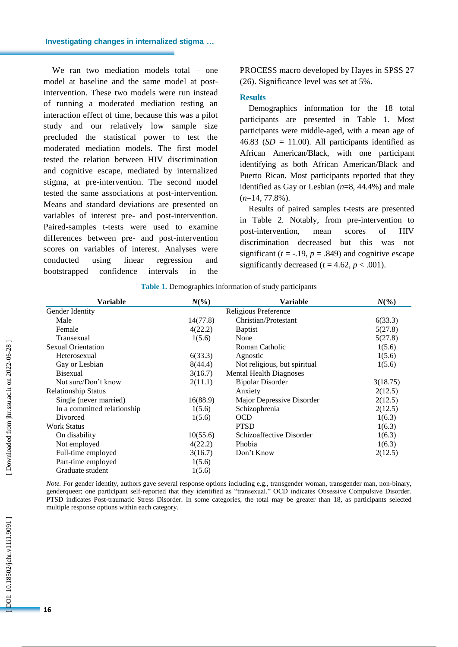### **Investigating changes in internalized stigma …**

We ran two mediation models total – one model at baseline and the same model at post intervention. These two models were run instead of running a moderated mediation testing an interaction effect of time, because this was a pilot study and our relatively low sample size precluded the statistical power to test the moderated mediation models. The first model tested the relation between HIV discrimination and cognitive escape, mediated by internalized stigma, at pre -intervention. The second model tested the same associations at post -intervention. Means and standard deviations are presented on variables of interest pre - and post -intervention. Paired -samples t -tests were used to examine differences between pre - and post -intervention scores on variables of interest. Analyses were conducted using linear regression and bootstrapped confidence intervals in the

PROCESS macro developed by Hayes in SPSS 27 (26) . Significance level was set at 5%.

#### **Results**

Demographics information for the 18 total participants are presented in Table 1. Most participants were middle -aged, with a mean age of 46.83 ( $SD = 11.00$ ). All participants identified as African American/Black, with one participant identifying as both African American/Black and Puerto Rican. Most participants reported that they identified as Gay or Lesbian  $(n=8, 44.4\%)$  and male ( *n*=1 4, 77.8%).

Results of paired samples t -tests are presented in Table 2. Notably, from pre -intervention to post -intervention, mean scores of HIV discrimination decreased but this was not significant  $(t = -.19, p = .849)$  and cognitive escape significantly decreased  $(t = 4.62, p < .001)$ .

| <b>Variable</b>             | $N\left(\frac{6}{6}\right)$ |                                | $N\left(\frac{6}{6}\right)$ |  |
|-----------------------------|-----------------------------|--------------------------------|-----------------------------|--|
| Gender Identity             | Religious Preference        |                                |                             |  |
| Male                        | 14(77.8)                    | Christian/Protestant           | 6(33.3)                     |  |
| Female                      | 4(22.2)                     | <b>Baptist</b>                 | 5(27.8)                     |  |
| Transexual                  | 1(5.6)                      | None                           | 5(27.8)                     |  |
| <b>Sexual Orientation</b>   |                             | Roman Catholic                 | 1(5.6)                      |  |
| Heterosexual                | 6(33.3)                     | Agnostic                       | 1(5.6)                      |  |
| Gay or Lesbian              | 8(44.4)                     | Not religious, but spiritual   | 1(5.6)                      |  |
| <b>Bisexual</b>             | 3(16.7)                     | <b>Mental Health Diagnoses</b> |                             |  |
| Not sure/Don't know         | 2(11.1)                     | <b>Bipolar Disorder</b>        | 3(18.75)                    |  |
| <b>Relationship Status</b>  |                             | Anxiety                        | 2(12.5)                     |  |
| Single (never married)      | 16(88.9)                    | Major Depressive Disorder      | 2(12.5)                     |  |
| In a committed relationship | 1(5.6)                      | Schizophrenia                  | 2(12.5)                     |  |
| Divorced                    | 1(5.6)                      | <b>OCD</b>                     | 1(6.3)                      |  |
| <b>Work Status</b>          |                             | <b>PTSD</b>                    | 1(6.3)                      |  |
| On disability               | 10(55.6)                    | Schizoaffective Disorder       | 1(6.3)                      |  |
| Not employed                | 4(22.2)                     | Phobia                         | 1(6.3)                      |  |
| Full-time employed          | 3(16.7)                     | Don't Know                     | 2(12.5)                     |  |
| Part-time employed          | 1(5.6)                      |                                |                             |  |
| Graduate student            | 1(5.6)                      |                                |                             |  |

**Table 1.** Demographics information of study participants

Note. For gender identity, authors gave several response options including e.g., transgender woman, transgender man, non-binary, genderqueer; one participant self-reported that they identified as "transexual." OCD indicates Obsessive Compulsive Disorder. PTSD indicates Post -traumatic Stress Disorder. In some categories, the total may be greater than 18, as participants selected multiple response options within each category.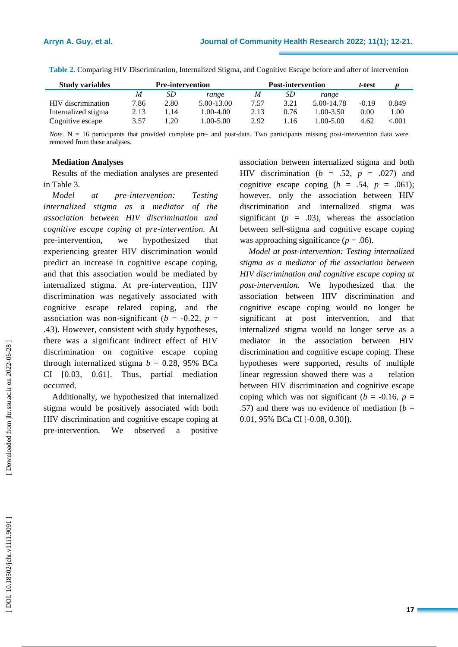| <b>Study variables</b> | <b>Pre-intervention</b> |      | <b>Post-intervention</b> |      |      | t-test        |         |       |
|------------------------|-------------------------|------|--------------------------|------|------|---------------|---------|-------|
|                        | M                       | SD   | range                    | M    | SD.  | range         |         |       |
| HIV discrimination     | 7.86                    | 2.80 | 5.00-13.00               | 7.57 | 3.21 | 5.00-14.78    | $-0.19$ | 0.849 |
| Internalized stigma    | 2.13                    | .14  | 1.00-4.00                | 2.13 | 0.76 | $1.00 - 3.50$ | 0.00    | 00.   |
| Cognitive escape       | 3.57                    | .20  | 1.00-5.00                | 2.92 | .16  | 1.00-5.00     | 4.62    | <.001 |

**Table 2.** Comparing HIV Discrimination, Internalized Stigma, and Cognitive Escape before and after of intervention

*Note*. N = 16 participants that provided complete pre- and post-data. Two participants missing post-intervention data were removed from these analyses.

# **Mediation Analyses**

Results of the mediation analyses are presented in Table 3.

*Model* at *-intervention : Testing internalized stigma as a mediator of the association between HIV discrimination and cognitive escape coping at pre -intervention.* At pre-intervention. we hypothesized that experiencing greater HIV discrimination would predict an increase in cognitive escape coping, and that this association would be mediated by internalized stigma. At pre -intervention, HIV discrimination was negatively associated with cognitive escape related coping, and the association was non-significant ( $b = -0.22$ ,  $p =$ .43). However, consistent with study hypotheses, there was a significant indirect effect of HIV discrimination on cognitive escape coping through internalized stigma  $b = 0.28$ , 95% BCa CI [0.03, 0.61]. Thus, partial mediation occurred.

Additionally, we hypothesized that internalized stigma would be positively associated with both HIV discrimination and cognitive escape coping at pre -intervention. We observed a positive association between internalized stigma and both HIV discrimination ( $b = .52$ ,  $p = .027$ ) and cognitive escape coping  $(b = .54, p = .061)$ ; however, only the association between HIV discrimination and internalized stigma was significant ( $p = .03$ ), whereas the association between self-stigma and cognitive escape coping was approaching significance ( $p = .06$ ).

*Model at post -intervention : Testing internalized stigma as a mediator of the association between HIV discrimination and cognitive escape coping at post -intervention.* We hypothesized that the association between HIV discrimination and cognitive escape coping would no longer be significan at post intervention, and that internalized stigma would no longer serve as a mediator in the association between HIV discrimination and cognitive escape coping. These hypotheses were supported , results of multiple linear regression showed there was a relation between HIV discrimination and cognitive escape coping which was not significant ( $b = -0.16$ ,  $p =$ .57) and there was no evidence of mediation  $(b =$ 0.01, 95% BCa CI [ -0.08, 0.30]).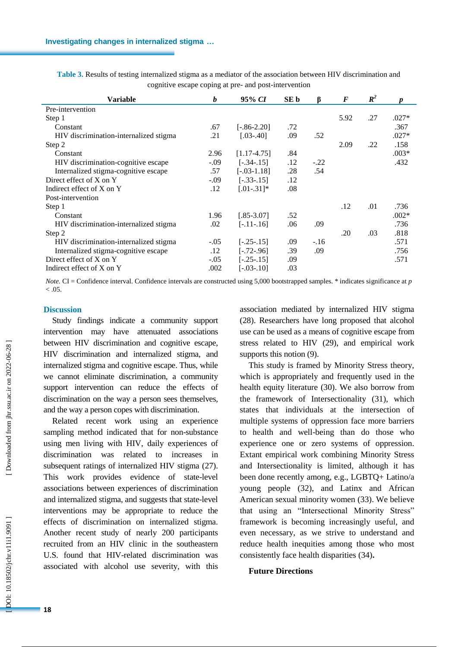| Variable                               | b      | 95% CI           | SE b | B      | F    | $\mathbb{R}^2$ |         |
|----------------------------------------|--------|------------------|------|--------|------|----------------|---------|
| Pre-intervention                       |        |                  |      |        |      |                |         |
| Step 1                                 |        |                  |      |        | 5.92 | .27            | $.027*$ |
| Constant                               | .67    | $[-.86 - 2.20]$  | .72  |        |      |                | .367    |
| HIV discrimination-internalized stigma | .21    | $[.03 - .40]$    | .09  | .52    |      |                | $.027*$ |
| Step 2                                 |        |                  |      |        | 2.09 | .22            | .158    |
| Constant                               | 2.96   | $[1.17-4.75]$    | .84  |        |      |                | $.003*$ |
| HIV discrimination-cognitive escape    | $-.09$ | $[-.34-.15]$     | .12  | $-.22$ |      |                | .432    |
| Internalized stigma-cognitive escape   | .57    | $[-0.03 - 1.18]$ | .28  | .54    |      |                |         |
| Direct effect of X on Y                | $-.09$ | $[-.33-.15]$     | .12  |        |      |                |         |
| Indirect effect of X on Y              | .12    | $[.01-.31]$ *    | .08  |        |      |                |         |
| Post-intervention                      |        |                  |      |        |      |                |         |
| Step 1                                 |        |                  |      |        | .12  | .01            | .736    |
| Constant                               | 1.96   | $[.85 - 3.07]$   | .52  |        |      |                | $.002*$ |
| HIV discrimination-internalized stigma | .02    | $[-.11-.16]$     | .06  | .09    |      |                | .736    |
| Step 2                                 |        |                  |      |        | .20  | .03            | .818    |
| HIV discrimination-internalized stigma | $-.05$ | $[-.25-.15]$     | .09  | $-.16$ |      |                | .571    |
| Internalized stigma-cognitive escape   | .12    | $[-.72-.96]$     | .39  | .09    |      |                | .756    |
| Direct effect of X on Y                | $-.05$ | $[-.25-.15]$     | .09  |        |      |                | .571    |
| Indirect effect of X on Y              | .002   | $[-.03-.10]$     | .03  |        |      |                |         |

**Table 3.** Results of testing internalized stigma as a mediator of the association between HIV discrimination and cognitive escape coping at pre - and post -intervention

*Note.* CI = Confidence interval. Confidence intervals are constructed using 5,000 bootstrapped samples. \* indicates significance at p  $< 0.05$ .

## **Discussion**

Study findings indicate a community support intervention may have attenuated associations between HIV discrimination and cognitive escape , HIV discrimination and internalized stigma , and internalized stigma and cognitive escape. Thus, while we cannot eliminate discrimination, a community support intervention can reduce the effects of discrimination on the way a person sees themselves, and the way a person copes with discrimination. Related recent work using an experience

sampling method indicate d that for non -substance using men living with HIV, daily experiences of discrimination was related to increases in subsequent ratings of internalized HIV stigma (27) . This work provides evidence of state -level associations between experiences of discrimination and internalized stigma , and suggests that state -level interventions may be appropriate to reduce the effects of discrimination on internalized stigma . Another recent study of nearly 200 participants recruited from a n HIV clinic in the southeastern U.S. found that HIV -related discrimination was associated with alcohol use severity, with this

association mediated by internalized HIV stigma (28) . Researchers have long proposed that alcohol use can be used as a means of cognitive escape from stress related to HIV (29) , and empirical work supports this notion (9) .

This study is framed by Minority Stress theory, which is appropriately and frequently used in the health equity literature (30) . We also borrow from the framework of Intersectionality (31) , which states that individuals at the intersection of multiple systems of oppression face more barriers to health and well -being than do those who experience one or zero systems of oppression. Extant empirical work combining Minority Stress and Intersectionality is limited, although it has been done recently among, e.g., LGBTQ+ Latino/a young people (32) , and Latinx and African American sexual minority women (33) . We believe that using an "Intersectional Minority Stress" framework is becoming increasingly useful, and even necessary, as we strive to understand and reduce health inequities among those who most consistently face health disparities (34) **.**

#### **Future Directions**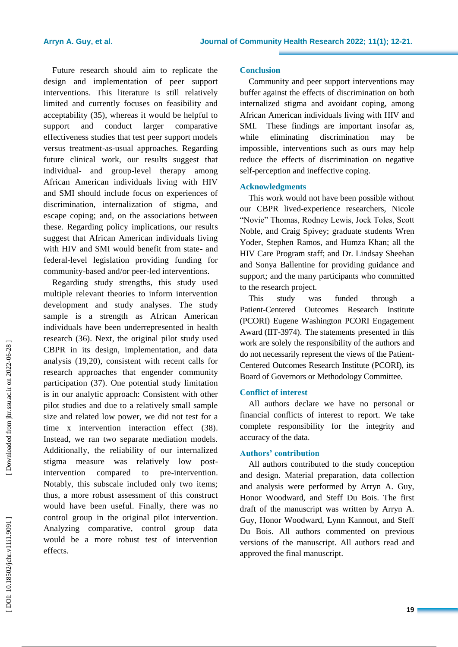Future research should aim to replicate the design and implementation of peer support interventions. This literature is still relatively limited and currently focuses on feasibility and acceptability (35), whereas it would be helpful to support and conduct larger comparative effectiveness studies that test peer support models versus treatment -as -usual approaches. Regarding future clinical work, our results suggest that individual - and group -level therapy among African American individuals living with HIV and SMI should include focus on experiences of discrimination, internalization of stigma, and escape coping; and, on the associations between these. Regarding policy implications, our results suggest that African American individuals living with HIV and SMI would benefit from state- and federal -level legislation providing funding for community -based and/or peer -led interventions.

Regarding study strengths, this study used multiple relevant theories to inform intervention development and study analyses. The study sample is a strength as African American individuals have been underrepresented in health research (36) . Next, the original pilot study used CBPR in its design, implementation, and data analysis (19,20), consistent with recent calls for research approaches that engender community participation (37) . One potential study limitation is in our analytic approach: Consistent with other pilot studies and due to a relatively small sample size and related low power, we did not test for a time x intervention interaction effect (38). Instead, we ran two separate mediation models. Additionally, the reliability of our internalized stigma measure was relatively low post intervention compared to pre-intervention. Notably, this subscale included only two items; thus, a more robust assessment of this construct would have been useful. Finally, there was no control group in the original pilot intervention . Analyzing comparative, control group data would be a more robust test of intervention effects.

# **Conclusion**

Community and peer support interventions may buffer against the effects of discrimination on both internalized stigma and avoidant coping , among African American individuals living with HIV and SMI. These findings are important insofar as, while eliminating discrimination may be impossible, interventions such as ours may help reduce the effects of discrimination on negative self-perception and ineffective coping.

# **Acknowledgments**

This work would not have been possible without our CBPR lived -experience researchers, Nicole "Novie" Thomas, Rodney Lewis, Jock Toles, Scott Noble, and Craig Spivey ; graduate students Wren Yoder, Stephen Ramos, and Humza Khan; all the HIV Care Program staff; and Dr. Lindsay Sheehan and Sonya Ballentine for providing guidance and support; and the many participants who committed to the research project.

This study was funde through a Patient -Centered Outcomes Research Institute (PCORI) Eugene Washington PCORI Engagement Award (IIT -3974). The statements presented in this work are solely the responsibility of the authors and do not necessarily represent the views of the Patient - Centered Outcomes Research Institute (PCORI), its Board of Governors or Methodology Committee.

# **Conflict of interest**

All authors declare we have no personal or financial conflicts of interest to report. We take complete responsibility for the integrity and accuracy of the data .

# **Authors' contribution**

All authors contributed to the study conception and design. Material preparation, data collection and analysis were performed by Arryn A. Guy, Honor Woodward, and Steff Du Bois. The first draft of the manuscript was written by Arryn A. Guy, Honor Woodward, Lynn Kannout, and Steff Du Bois. All authors commented on previous versions of the manuscript. All authors read and approved the final manuscript.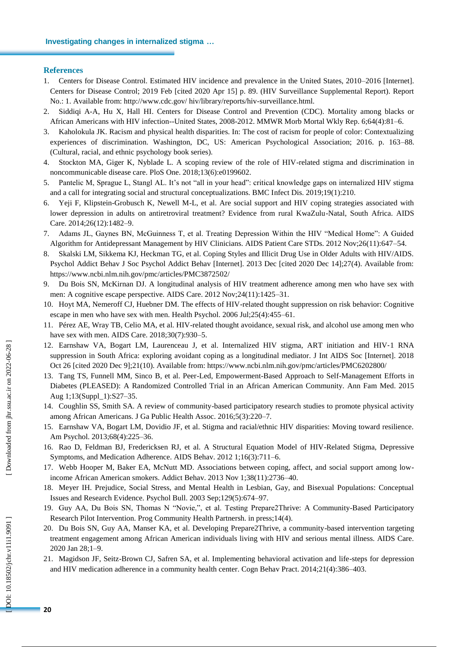#### **References**

- 1. Centers for Disease Control. Estimated HIV incidence and prevalence in the United States, 2010 –2016 [Internet]. Centers for Disease Control; 2019 Feb [cited 2020 Apr 15] p. 89. (HIV Surveillance Supplemental Report). Report No.: 1. Available from: http://www.cdc.gov/ hiv/library/reports/hiv -surveillance.html.
- 2. Siddiqi A -A, Hu X, Hall HI. Centers for Disease Control and Prevention (CDC). Mortality among blacks or African Americans with HIV infection--United States, 2008 -2012. MMWR Morb Mortal Wkly Rep. 6;64(4):81 –6.
- 3. Kaholokula JK. Racism and physical health disparities. In: The cost of racism for people of color: Contextualizing experiences of discrimination. Washington, DC, US: American Psychological Association; 2016. p. 163 –88. (Cultural, racial, and ethnic psychology book series).
- 4. Stockton MA, Giger K, Nyblade L. A scoping review of the role of HIV -related stigma and discrimination in noncommunicable disease care. PloS One. 2018;13(6):e0199602.
- 5. Pantelic M, Sprague L, Stangl AL. It's not "all in your head": critical knowledge gaps on internalized HIV stigma and a call for integrating social and structural conceptualizations. BMC Infect Dis. 2019;19(1):210.
- 6. Yeji F, Klipstein -Grobusch K, Newell M -L, et al. Are social support and HIV coping strategies associated with lower depression in adults on antiretroviral treatment? Evidence from rural KwaZulu -Natal, South Africa. AIDS Care. 2014;26(12):1482 –9.
- 7. Adams JL, Gaynes BN, McGuinness T, et al. Treating Depression Within the HIV "Medical Home": A Guided Algorithm for Antidepressant Management by HIV Clinicians. AIDS Patient Care STDs. 2012 Nov;26(11):647 –54.
- 8. Skalski LM, Sikkema KJ, Heckman TG, et al. Coping Styles and Illicit Drug Use in Older Adults with HIV/AIDS. Psychol Addict Behav J Soc Psychol Addict Behav [Internet]. 2013 Dec [cited 2020 Dec 14];27(4). Available from: https://www.ncbi.nlm.nih.gov/pmc/articles/PMC3872502/
- 9. Du Bois SN, McKirnan DJ. A longitudinal analysis of HIV treatment adherence among men who have sex with men: A cognitive escape perspective. AIDS Care. 2012 Nov;24(11):1425 –31.
- 10. Hoyt MA, Nemeroff CJ, Huebner DM. The effects of HIV -related thought suppression on risk behavior: Cognitive escape in men who have sex with men. Health Psychol. 2006 Jul;25(4):455 –61.
- 11. Pérez AE, Wray TB, Celio MA, et al. HIV -related thought avoidance, sexual risk, and alcohol use among men who have sex with men. AIDS Care. 2018;30(7):930 –5.
- 12. Earnshaw VA, Bogart LM, Laurenceau J, et al. Internalized HIV stigma, ART initiation and HIV ‐1 RNA suppression in South Africa: exploring avoidant coping as a longitudinal mediator. J Int AIDS Soc [Internet]. 2018 Oct 26 [cited 2020 Dec 9];21(10). Available from: https://www.ncbi.nlm.nih.gov/pmc/articles/PMC6202800/
- 13. Tang TS, Funnell MM, Sinco B, et al. Peer-Led, Empowerment-Based Approach to Self-Management Efforts in Diabetes (PLEASED): A Randomized Controlled Trial in an African American Community. Ann Fam Med. 2015 Aug 1;13(Suppl\_1):S27 –35.
- 14. Coughlin SS, Smith SA. A review of community -based participatory research studies to promote physical activity among African Americans. J Ga Public Health Assoc. 2016;5(3):220 –7.
- 15. Earnshaw VA, Bogart LM, Dovidio JF, et al. Stigma and racial/ethnic HIV disparities: Moving toward resilience. Am Psychol. 2013;68(4):225 –36.
- 16. Rao D, Feldman BJ, Fredericksen RJ, et al. A Structural Equation Model of HIV -Related Stigma, Depressive Symptoms, and Medication Adherence. AIDS Behav. 2012 1;16(3):711 –6.
- 17. Webb Hooper M, Baker EA, McNutt MD. Associations between coping, affect, and social support among low income African American smokers. Addict Behav. 2013 Nov 1;38(11):2736 – 40.
- 18. Meyer IH. Prejudice, Social Stress, and Mental Health in Lesbian, Gay, and Bisexual Populations: Conceptual Issues and Research Evidence. Psychol Bull. 2003 Sep;129(5):674 –97.
- 19. Guy AA, Du Bois SN, Thomas N "Novie,", et al. Testing Prepare2Thrive: A Community-Based Participatory Research Pilot Intervention. Prog Community Health Partnersh. in press;14(4).
- 20. Du Bois SN, Guy AA, Manser KA, et al. Developing Prepare2Thrive, a community -based intervention targeting treatment engagement among African American individuals living with HIV and serious mental illness. AIDS Care. 2020 Jan 28;1 –9.
- 21. Magidson JF, Seitz -Brown CJ, Safren SA, et al. Implementing behavioral activation and life -steps for depression and HIV medication adherence in a community health center. Cogn Behav Pract. 2014;21(4):386–403.

DOI: 10.18502/jchr.v11i1.9091